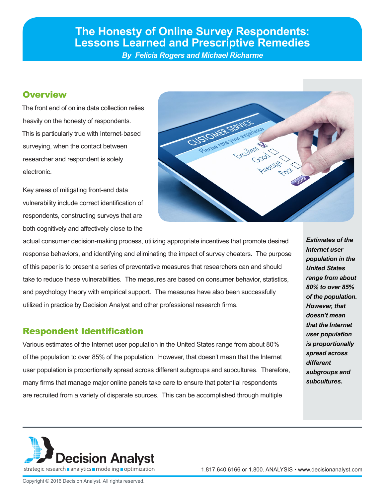# **The Honesty of Online Survey Respondents: Lessons Learned and Prescriptive Remedies**

*By Felicia Rogers and Michael Richarme*

## **Overview**

The front end of online data collection relies heavily on the honesty of respondents. This is particularly true with Internet-based surveying, when the contact between researcher and respondent is solely electronic.

Key areas of mitigating front-end data vulnerability include correct identification of respondents, constructing surveys that are both cognitively and affectively close to the



actual consumer decision-making process, utilizing appropriate incentives that promote desired response behaviors, and identifying and eliminating the impact of survey cheaters. The purpose of this paper is to present a series of preventative measures that researchers can and should take to reduce these vulnerabilities. The measures are based on consumer behavior, statistics, and psychology theory with empirical support. The measures have also been successfully utilized in practice by Decision Analyst and other professional research firms.

## Respondent Identification

Various estimates of the Internet user population in the United States range from about 80% of the population to over 85% of the population. However, that doesn't mean that the Internet user population is proportionally spread across different subgroups and subcultures. Therefore, many firms that manage major online panels take care to ensure that potential respondents are recruited from a variety of disparate sources. This can be accomplished through multiple

*Estimates of the Internet user population in the United States range from about 80% to over 85% of the population. However, that doesn't mean that the Internet user population is proportionally spread across different subgroups and subcultures.* 



1.817.640.6166 or 1.800. ANALYSIS • www.decisionanalyst.com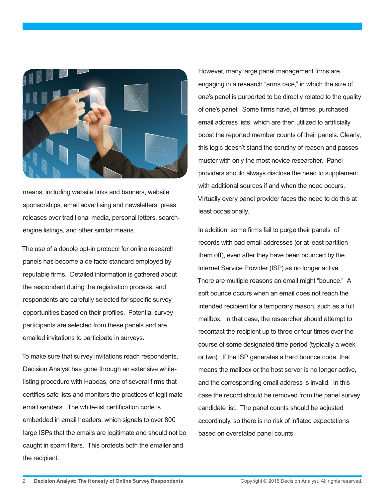

means, including website links and banners, website sponsorships, email advertising and newsletters, press releases over traditional media, personal letters, searchengine listings, and other similar means.

The use of a double opt-in protocol for online research panels has become a de facto standard employed by reputable firms. Detailed information is gathered about the respondent during the registration process, and respondents are carefully selected for specific survey opportunities based on their profiles. Potential survey participants are selected from these panels and are emailed invitations to participate in surveys.

To make sure that survey invitations reach respondents, Decision Analyst has gone through an extensive whitelisting procedure with Habeas, one of several firms that certifies safe lists and monitors the practices of legitimate email senders. The white-list certification code is embedded in email headers, which signals to over 800 large ISPs that the emails are legitimate and should not be caught in spam filters. This protects both the emailer and the recipient.

However, many large panel management firms are engaging in a research "arms race," in which the size of one's panel is purported to be directly related to the quality of one's panel. Some firms have, at times, purchased email address lists, which are then utilized to artificially boost the reported member counts of their panels. Clearly, this logic doesn't stand the scrutiny of reason and passes muster with only the most novice researcher. Panel providers should always disclose the need to supplement with additional sources if and when the need occurs. Virtually every panel provider faces the need to do this at least occasionally.

In addition, some firms fail to purge their panels of records with bad email addresses (or at least partition them off), even after they have been bounced by the Internet Service Provider (ISP) as no longer active. There are multiple reasons an email might "bounce." A soft bounce occurs when an email does not reach the intended recipient for a temporary reason, such as a full mailbox. In that case, the researcher should attempt to recontact the recipient up to three or four times over the course of some designated time period (typically a week or two). If the ISP generates a hard bounce code, that means the mailbox or the host server is no longer active, and the corresponding email address is invalid. In this case the record should be removed from the panel survey candidate list. The panel counts should be adjusted accordingly, so there is no risk of inflated expectations based on overstated panel counts.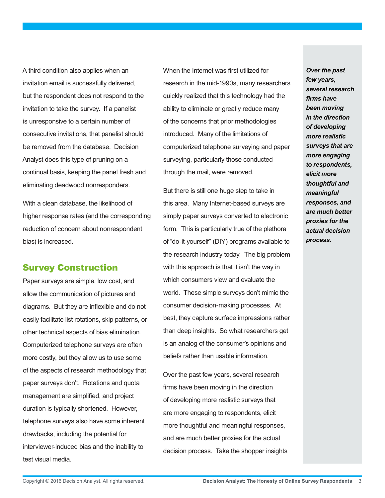A third condition also applies when an invitation email is successfully delivered, but the respondent does not respond to the invitation to take the survey. If a panelist is unresponsive to a certain number of consecutive invitations, that panelist should be removed from the database. Decision Analyst does this type of pruning on a continual basis, keeping the panel fresh and eliminating deadwood nonresponders.

With a clean database, the likelihood of higher response rates (and the corresponding reduction of concern about nonrespondent bias) is increased.

## Survey Construction

Paper surveys are simple, low cost, and allow the communication of pictures and diagrams. But they are inflexible and do not easily facilitate list rotations, skip patterns, or other technical aspects of bias elimination. Computerized telephone surveys are often more costly, but they allow us to use some of the aspects of research methodology that paper surveys don't. Rotations and quota management are simplified, and project duration is typically shortened. However, telephone surveys also have some inherent drawbacks, including the potential for interviewer-induced bias and the inability to test visual media.

When the Internet was first utilized for research in the mid-1990s, many researchers quickly realized that this technology had the ability to eliminate or greatly reduce many of the concerns that prior methodologies introduced. Many of the limitations of computerized telephone surveying and paper surveying, particularly those conducted through the mail, were removed.

But there is still one huge step to take in this area. Many Internet-based surveys are simply paper surveys converted to electronic form. This is particularly true of the plethora of "do-it-yourself" (DIY) programs available to the research industry today. The big problem with this approach is that it isn't the way in which consumers view and evaluate the world. These simple surveys don't mimic the consumer decision-making processes. At best, they capture surface impressions rather than deep insights. So what researchers get is an analog of the consumer's opinions and beliefs rather than usable information.

Over the past few years, several research firms have been moving in the direction of developing more realistic surveys that are more engaging to respondents, elicit more thoughtful and meaningful responses, and are much better proxies for the actual decision process. Take the shopper insights

*Over the past few years, several research firms have been moving in the direction of developing more realistic surveys that are more engaging to respondents, elicit more thoughtful and meaningful responses, and are much better proxies for the actual decision process.*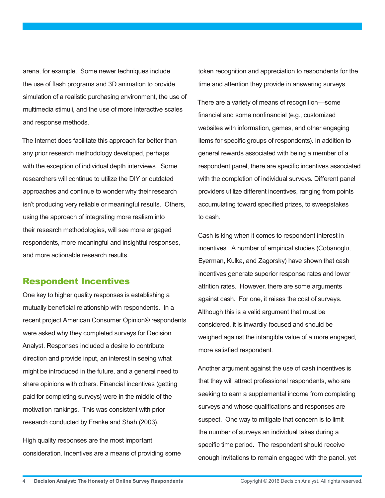arena, for example. Some newer techniques include the use of flash programs and 3D animation to provide simulation of a realistic purchasing environment, the use of multimedia stimuli, and the use of more interactive scales and response methods.

The Internet does facilitate this approach far better than any prior research methodology developed, perhaps with the exception of individual depth interviews. Some researchers will continue to utilize the DIY or outdated approaches and continue to wonder why their research isn't producing very reliable or meaningful results. Others, using the approach of integrating more realism into their research methodologies, will see more engaged respondents, more meaningful and insightful responses, and more actionable research results.

#### Respondent Incentives

One key to higher quality responses is establishing a mutually beneficial relationship with respondents. In a recent project American Consumer Opinion® respondents were asked why they completed surveys for Decision Analyst. Responses included a desire to contribute direction and provide input, an interest in seeing what might be introduced in the future, and a general need to share opinions with others. Financial incentives (getting paid for completing surveys) were in the middle of the motivation rankings. This was consistent with prior research conducted by Franke and Shah (2003).

High quality responses are the most important consideration. Incentives are a means of providing some token recognition and appreciation to respondents for the time and attention they provide in answering surveys.

There are a variety of means of recognition—some financial and some nonfinancial (e.g., customized websites with information, games, and other engaging items for specific groups of respondents). In addition to general rewards associated with being a member of a respondent panel, there are specific incentives associated with the completion of individual surveys. Different panel providers utilize different incentives, ranging from points accumulating toward specified prizes, to sweepstakes to cash.

Cash is king when it comes to respondent interest in incentives. A number of empirical studies (Cobanoglu, Eyerman, Kulka, and Zagorsky) have shown that cash incentives generate superior response rates and lower attrition rates. However, there are some arguments against cash. For one, it raises the cost of surveys. Although this is a valid argument that must be considered, it is inwardly-focused and should be weighed against the intangible value of a more engaged, more satisfied respondent.

Another argument against the use of cash incentives is that they will attract professional respondents, who are seeking to earn a supplemental income from completing surveys and whose qualifications and responses are suspect. One way to mitigate that concern is to limit the number of surveys an individual takes during a specific time period. The respondent should receive enough invitations to remain engaged with the panel, yet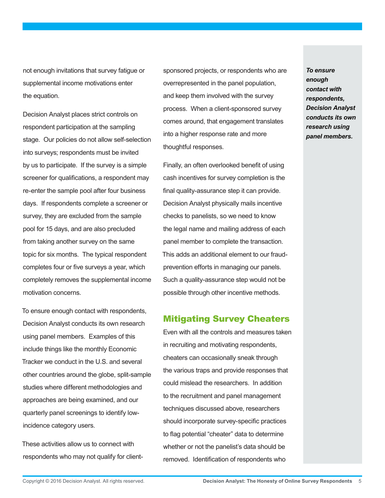not enough invitations that survey fatigue or supplemental income motivations enter the equation.

Decision Analyst places strict controls on respondent participation at the sampling stage. Our policies do not allow self-selection into surveys; respondents must be invited by us to participate. If the survey is a simple screener for qualifications, a respondent may re-enter the sample pool after four business days. If respondents complete a screener or survey, they are excluded from the sample pool for 15 days, and are also precluded from taking another survey on the same topic for six months. The typical respondent completes four or five surveys a year, which completely removes the supplemental income motivation concerns.

To ensure enough contact with respondents, Decision Analyst conducts its own research using panel members. Examples of this include things like the monthly Economic Tracker we conduct in the U.S. and several other countries around the globe, split-sample studies where different methodologies and approaches are being examined, and our quarterly panel screenings to identify lowincidence category users.

These activities allow us to connect with respondents who may not qualify for clientsponsored projects, or respondents who are overrepresented in the panel population, and keep them involved with the survey process. When a client-sponsored survey comes around, that engagement translates into a higher response rate and more thoughtful responses.

Finally, an often overlooked benefit of using cash incentives for survey completion is the final quality-assurance step it can provide. Decision Analyst physically mails incentive checks to panelists, so we need to know the legal name and mailing address of each panel member to complete the transaction. This adds an additional element to our fraudprevention efforts in managing our panels. Such a quality-assurance step would not be possible through other incentive methods.

## Mitigating Survey Cheaters

Even with all the controls and measures taken in recruiting and motivating respondents, cheaters can occasionally sneak through the various traps and provide responses that could mislead the researchers. In addition to the recruitment and panel management techniques discussed above, researchers should incorporate survey-specific practices to flag potential "cheater" data to determine whether or not the panelist's data should be removed. Identification of respondents who

*enough contact with respondents, Decision Analyst conducts its own research using panel members.* 

*To ensure*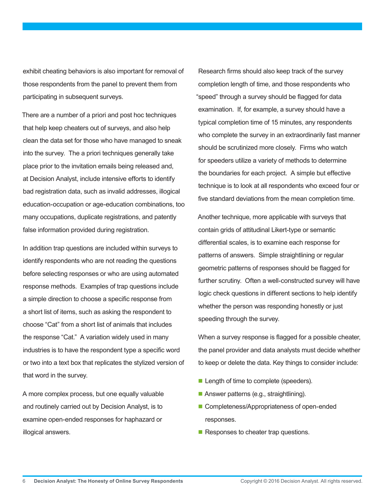exhibit cheating behaviors is also important for removal of those respondents from the panel to prevent them from participating in subsequent surveys.

There are a number of a priori and post hoc techniques that help keep cheaters out of surveys, and also help clean the data set for those who have managed to sneak into the survey. The a priori techniques generally take place prior to the invitation emails being released and, at Decision Analyst, include intensive efforts to identify bad registration data, such as invalid addresses, illogical education-occupation or age-education combinations, too many occupations, duplicate registrations, and patently false information provided during registration.

In addition trap questions are included within surveys to identify respondents who are not reading the questions before selecting responses or who are using automated response methods. Examples of trap questions include a simple direction to choose a specific response from a short list of items, such as asking the respondent to choose "Cat" from a short list of animals that includes the response "Cat." A variation widely used in many industries is to have the respondent type a specific word or two into a text box that replicates the stylized version of that word in the survey.

A more complex process, but one equally valuable and routinely carried out by Decision Analyst, is to examine open-ended responses for haphazard or illogical answers.

Research firms should also keep track of the survey completion length of time, and those respondents who "speed" through a survey should be flagged for data examination. If, for example, a survey should have a typical completion time of 15 minutes, any respondents who complete the survey in an extraordinarily fast manner should be scrutinized more closely. Firms who watch for speeders utilize a variety of methods to determine the boundaries for each project. A simple but effective technique is to look at all respondents who exceed four or five standard deviations from the mean completion time.

Another technique, more applicable with surveys that contain grids of attitudinal Likert-type or semantic differential scales, is to examine each response for patterns of answers. Simple straightlining or regular geometric patterns of responses should be flagged for further scrutiny. Often a well-constructed survey will have logic check questions in different sections to help identify whether the person was responding honestly or just speeding through the survey.

When a survey response is flagged for a possible cheater, the panel provider and data analysts must decide whether to keep or delete the data. Key things to consider include:

- **Length of time to complete (speeders).**
- Answer patterns (e.g., straightlining).
- Completeness/Appropriateness of open-ended responses.
- $\blacksquare$  Responses to cheater trap questions.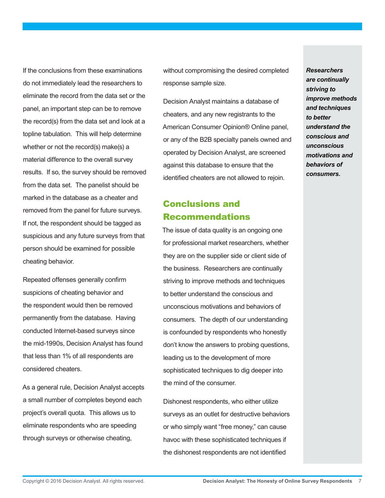If the conclusions from these examinations do not immediately lead the researchers to eliminate the record from the data set or the panel, an important step can be to remove the record(s) from the data set and look at a topline tabulation. This will help determine whether or not the record(s) make(s) a material difference to the overall survey results. If so, the survey should be removed from the data set. The panelist should be marked in the database as a cheater and removed from the panel for future surveys. If not, the respondent should be tagged as suspicious and any future surveys from that person should be examined for possible cheating behavior.

Repeated offenses generally confirm suspicions of cheating behavior and the respondent would then be removed permanently from the database. Having conducted Internet-based surveys since the mid-1990s, Decision Analyst has found that less than 1% of all respondents are considered cheaters.

As a general rule, Decision Analyst accepts a small number of completes beyond each project's overall quota. This allows us to eliminate respondents who are speeding through surveys or otherwise cheating,

without compromising the desired completed response sample size.

Decision Analyst maintains a database of cheaters, and any new registrants to the American Consumer Opinion® Online panel, or any of the B2B specialty panels owned and operated by Decision Analyst, are screened against this database to ensure that the identified cheaters are not allowed to rejoin.

## Conclusions and Recommendations

The issue of data quality is an ongoing one for professional market researchers, whether they are on the supplier side or client side of the business. Researchers are continually striving to improve methods and techniques to better understand the conscious and unconscious motivations and behaviors of consumers. The depth of our understanding is confounded by respondents who honestly don't know the answers to probing questions, leading us to the development of more sophisticated techniques to dig deeper into the mind of the consumer.

Dishonest respondents, who either utilize surveys as an outlet for destructive behaviors or who simply want "free money," can cause havoc with these sophisticated techniques if the dishonest respondents are not identified

*Researchers are continually striving to improve methods and techniques to better understand the conscious and unconscious motivations and behaviors of consumers.*